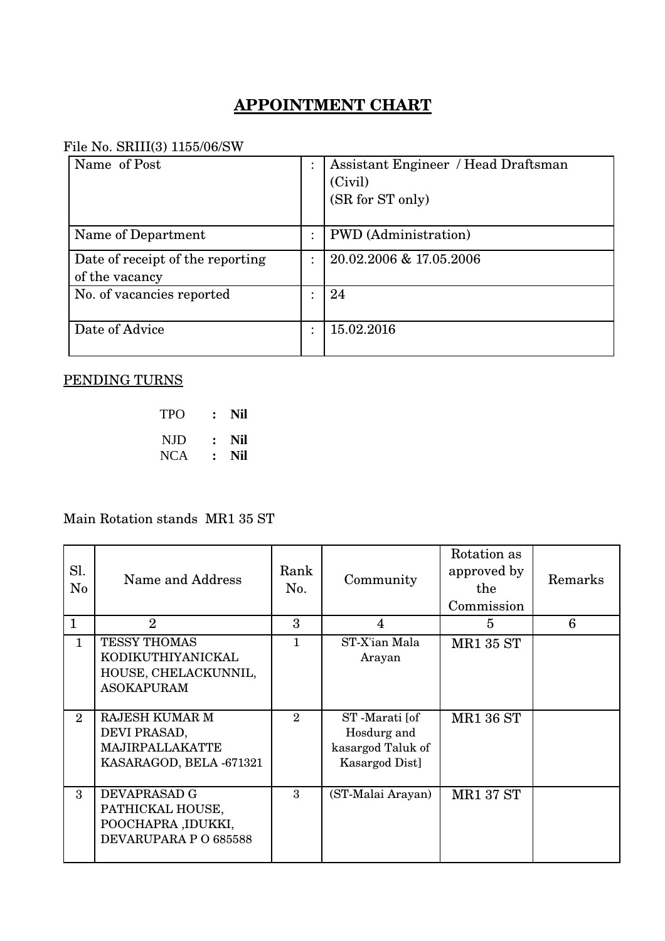## **APPOINTMENT CHART**

## File No. SRIII(3) 1155/06/SW

| Name of Post                                       | Assistant Engineer / Head Draftsman<br>(Civil)<br>(SR for ST only) |
|----------------------------------------------------|--------------------------------------------------------------------|
| Name of Department                                 | <b>PWD</b> (Administration)                                        |
| Date of receipt of the reporting<br>of the vacancy | 20.02.2006 & 17.05.2006                                            |
| No. of vacancies reported                          | 24                                                                 |
| Date of Advice                                     | 15.02.2016                                                         |

## PENDING TURNS

| TPO  | $\ddot{\cdot}$ | Nil |
|------|----------------|-----|
| NJD  | $\cdot$ .      | Nil |
| NCA. | $\ddot{\cdot}$ | Nil |

Main Rotation stands MR1 35 ST

| Sl.<br>$\rm No$ | Name and Address                                                                      | Rank<br>No.    | Community                                                           | Rotation as<br>approved by<br>the<br>Commission | Remarks |
|-----------------|---------------------------------------------------------------------------------------|----------------|---------------------------------------------------------------------|-------------------------------------------------|---------|
| $\mathbf{1}$    | $\overline{2}$                                                                        | 3              | $\overline{4}$                                                      | 5                                               | 6       |
| 1               | <b>TESSY THOMAS</b><br>KODIKUTHIYANICKAL<br>HOUSE, CHELACKUNNIL,<br><b>ASOKAPURAM</b> | 1              | ST-X'ian Mala<br>Arayan                                             | <b>MR1 35 ST</b>                                |         |
| $\overline{2}$  | <b>RAJESH KUMAR M</b><br>DEVI PRASAD,<br>MAJIRPALLAKATTE<br>KASARAGOD, BELA -671321   | $\overline{2}$ | ST-Marati [of<br>Hosdurg and<br>kasargod Taluk of<br>Kasargod Dist] | <b>MR1 36 ST</b>                                |         |
| 3               | DEVAPRASAD G<br>PATHICKAL HOUSE,<br>POOCHAPRA ,IDUKKI,<br>DEVARUPARA P O 685588       | 3              | (ST-Malai Arayan)                                                   | <b>MR1 37 ST</b>                                |         |